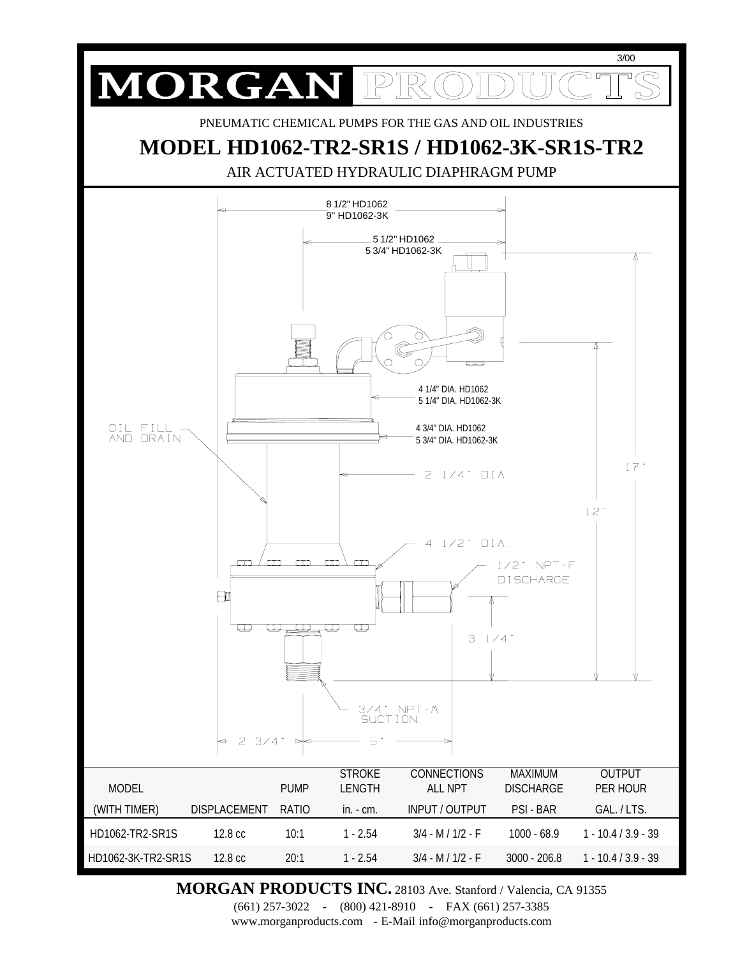

**MORGAN PRODUCTS INC.** 28103 Ave. Stanford / Valencia, CA 91355

(661) 257-3022 - (800) 421-8910 - FAX (661) 257-3385 www.morganproducts.com - E-Mail info@morganproducts.com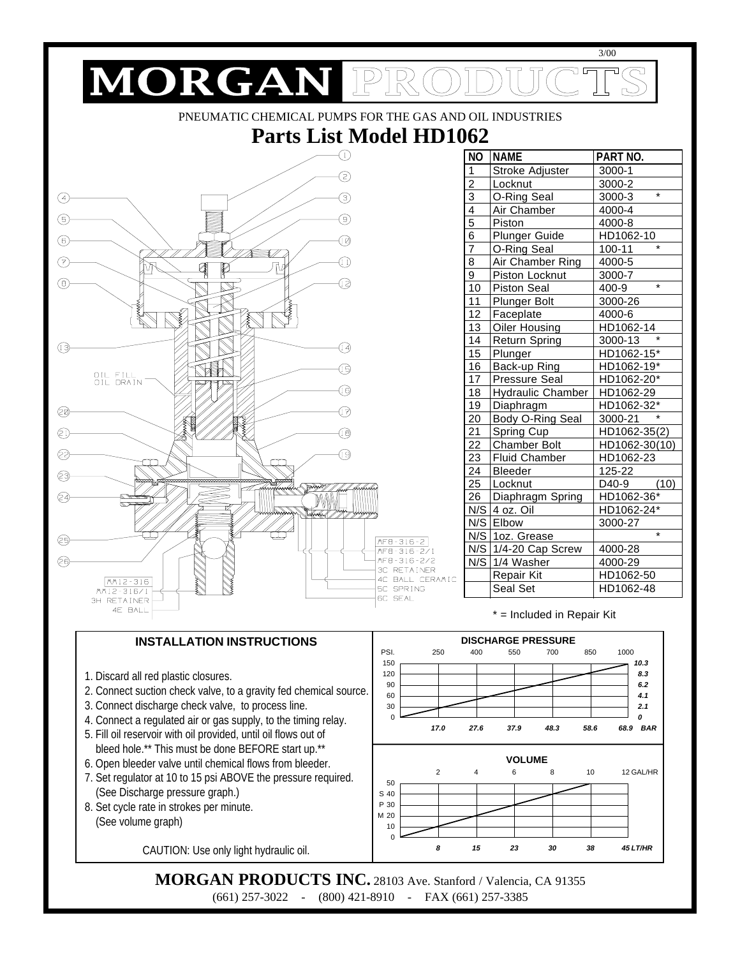

(661) 257-3022 - (800) 421-8910 - FAX (661) 257-3385